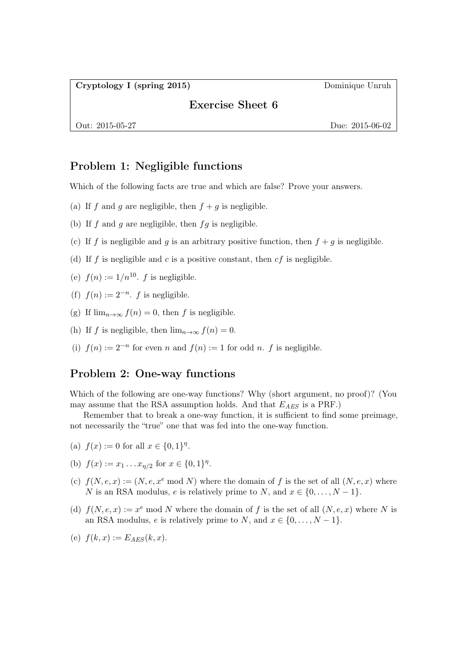Cryptology I (spring 2015) Dominique Unruh

## Exercise Sheet 6

Out: 2015-05-27 Due: 2015-06-02

## Problem 1: Negligible functions

Which of the following facts are true and which are false? Prove your answers.

- (a) If f and g are negligible, then  $f + g$  is negligible.
- (b) If  $f$  and  $g$  are negligible, then  $fg$  is negligible.
- (c) If f is negligible and g is an arbitrary positive function, then  $f + g$  is negligible.
- (d) If f is negligible and c is a positive constant, then  $cf$  is negligible.
- (e)  $f(n) := 1/n^{10}$ . f is negligible.
- (f)  $f(n) := 2^{-n}$ . f is negligible.
- (g) If  $\lim_{n\to\infty} f(n) = 0$ , then f is negligible.
- (h) If f is negligible, then  $\lim_{n\to\infty} f(n) = 0$ .
- (i)  $f(n) := 2^{-n}$  for even n and  $f(n) := 1$  for odd n. f is negligible.

## Problem 2: One-way functions

Which of the following are one-way functions? Why (short argument, no proof)? (You may assume that the RSA assumption holds. And that  $E_{AES}$  is a PRF.)

Remember that to break a one-way function, it is sufficient to find some preimage, not necessarily the "true" one that was fed into the one-way function.

- (a)  $f(x) := 0$  for all  $x \in \{0, 1\}^{\eta}$ .
- (b)  $f(x) := x_1 \dots x_{\eta/2}$  for  $x \in \{0,1\}^{\eta}$ .
- (c)  $f(N, e, x) := (N, e, x^e \mod N)$  where the domain of f is the set of all  $(N, e, x)$  where N is an RSA modulus, e is relatively prime to N, and  $x \in \{0, \ldots, N-1\}$ .
- (d)  $f(N, e, x) := x^e \mod N$  where the domain of f is the set of all  $(N, e, x)$  where N is an RSA modulus, e is relatively prime to N, and  $x \in \{0, \ldots, N-1\}$ .

(e) 
$$
f(k, x) := E_{AES}(k, x)
$$
.